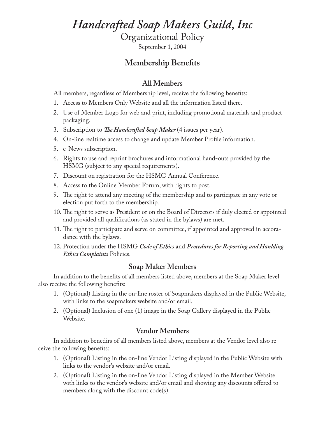# *Handcrafted Soap Makers Guild, Inc*

Organizational Policy

September 1, 2004

# **Membership Benefits**

## **All Members**

All members, regardless of Membership level, receive the following benefits:

- 1. Access to Members Only Website and all the information listed there.
- 2. Use of Member Logo for web and print, including promotional materials and product packaging.
- 3. Subscription to *The Handcrafted Soap Maker* (4 issues per year).
- 4. On-line realtime access to change and update Member Profile information.
- 5. e-News subscription.
- 6. Rights to use and reprint brochures and informational hand-outs provided by the HSMG (subject to any special requirements).
- 7. Discount on registration for the HSMG Annual Conference.
- 8. Access to the Online Member Forum, with rights to post.
- 9. The right to attend any meeting of the membership and to participate in any vote or election put forth to the membership.
- 10. The right to serve as President or on the Board of Directors if duly elected or appointed and provided all qualifications (as stated in the bylaws) are met.
- 11. The right to participate and serve on committee, if appointed and approved in accoradance with the bylaws.
- 12. Protection under the HSMG *Code of Ethics* and *Procedures for Reporting and Hanlding Ethics Complaints* Policies.

#### **Soap Maker Members**

In addition to the benefits of all members listed above, members at the Soap Maker level also receive the following benefits:

- 1. (Optional) Listing in the on-line roster of Soapmakers displayed in the Public Website, with links to the soapmakers website and/or email.
- 2. (Optional) Inclusion of one (1) image in the Soap Gallery displayed in the Public Website.

## **Vendor Members**

In addition to benedirs of all members listed above, members at the Vendor level also receive the following benefits:

- 1. (Optional) Listing in the on-line Vendor Listing displayed in the Public Website with links to the vendor's website and/or email.
- 2. (Optional) Listing in the on-line Vendor Listing displayed in the Member Website with links to the vendor's website and/or email and showing any discounts offered to members along with the discount code(s).